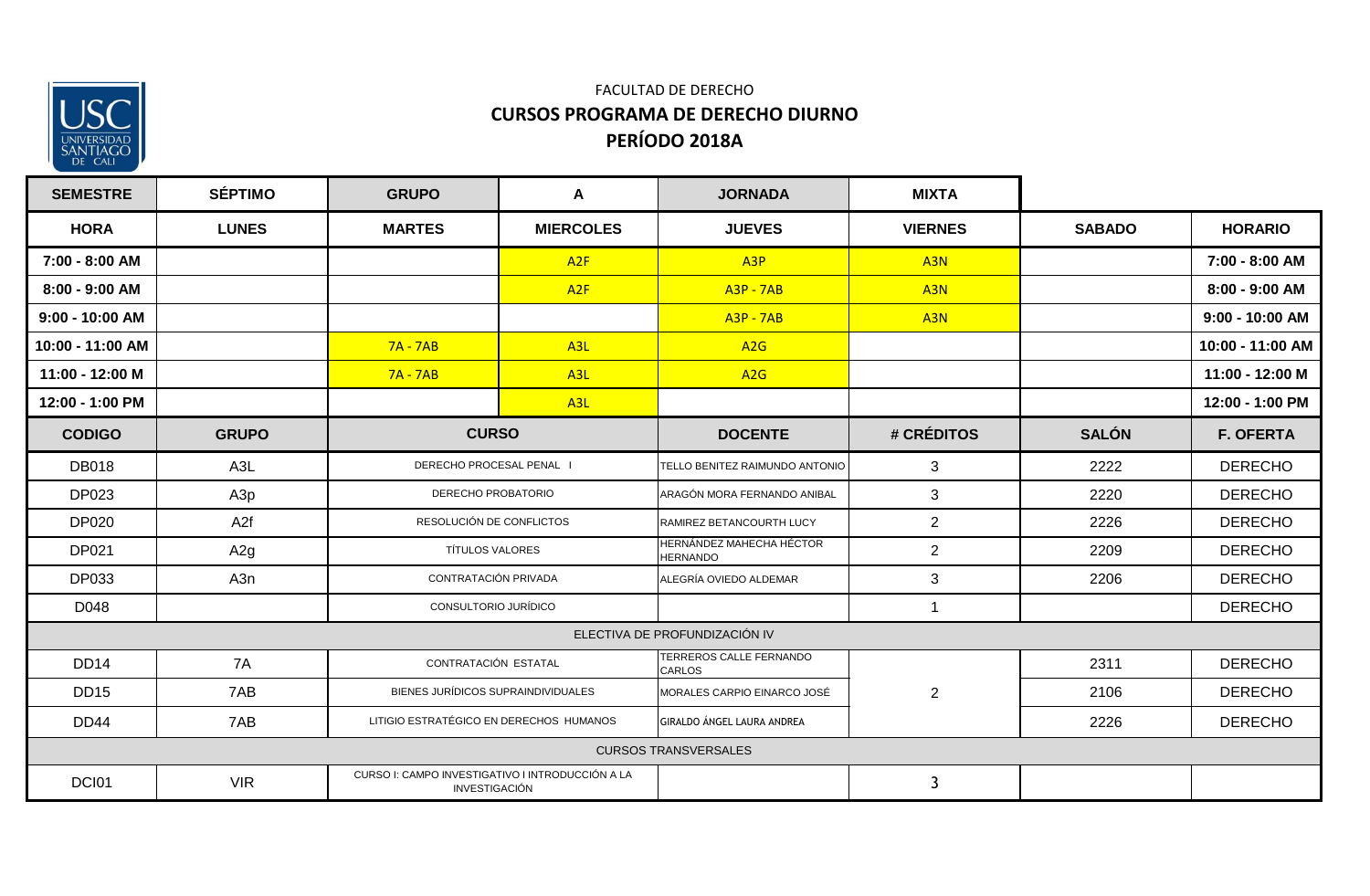

| <b>SEMESTRE</b>  | <b>SÉPTIMO</b>  | <b>GRUPO</b>                                                             | A                                                 | <b>JORNADA</b>                              | <b>MIXTA</b>    |               |                  |
|------------------|-----------------|--------------------------------------------------------------------------|---------------------------------------------------|---------------------------------------------|-----------------|---------------|------------------|
| <b>HORA</b>      | <b>LUNES</b>    | <b>MARTES</b>                                                            | <b>MIERCOLES</b>                                  | <b>JUEVES</b>                               | <b>VIERNES</b>  | <b>SABADO</b> | <b>HORARIO</b>   |
| 7:00 - 8:00 AM   |                 |                                                                          | A2F                                               | A <sub>3</sub> P                            | A <sub>3N</sub> |               | 7:00 - 8:00 AM   |
| 8:00 - 9:00 AM   |                 |                                                                          | A2F                                               | <b>A3P - 7AB</b>                            | A <sub>3N</sub> |               | 8:00 - 9:00 AM   |
| 9:00 - 10:00 AM  |                 |                                                                          |                                                   | $A3P - 7AB$                                 | A <sub>3N</sub> |               | 9:00 - 10:00 AM  |
| 10:00 - 11:00 AM |                 | $7A - 7AB$                                                               | A <sub>3L</sub>                                   | A <sub>2</sub> G                            |                 |               | 10:00 - 11:00 AM |
| 11:00 - 12:00 M  |                 | $7A - 7AB$                                                               | A <sub>3L</sub>                                   | A2G                                         |                 |               | 11:00 - 12:00 M  |
| 12:00 - 1:00 PM  |                 |                                                                          | A <sub>3L</sub>                                   |                                             |                 |               | 12:00 - 1:00 PM  |
| <b>CODIGO</b>    | <b>GRUPO</b>    |                                                                          | <b>CURSO</b>                                      |                                             | # CRÉDITOS      | <b>SALÓN</b>  | <b>F. OFERTA</b> |
| <b>DB018</b>     | A3L             | DERECHO PROCESAL PENAL I                                                 |                                                   | TELLO BENITEZ RAIMUNDO ANTONIO              | 3               | 2222          | <b>DERECHO</b>   |
| <b>DP023</b>     | A3p             |                                                                          | DERECHO PROBATORIO<br>ARAGÓN MORA FERNANDO ANIBAL |                                             | 3               | 2220          | <b>DERECHO</b>   |
| <b>DP020</b>     | A <sub>2f</sub> | RESOLUCIÓN DE CONFLICTOS                                                 |                                                   | RAMIREZ BETANCOURTH LUCY                    | $\overline{2}$  | 2226          | <b>DERECHO</b>   |
| DP021            | A2g             | <b>TÍTULOS VALORES</b>                                                   |                                                   | HERNÁNDEZ MAHECHA HÉCTOR<br><b>HERNANDO</b> | $\overline{2}$  | 2209          | <b>DERECHO</b>   |
| DP033            | A3n             | CONTRATACIÓN PRIVADA                                                     |                                                   | ALEGRÍA OVIEDO ALDEMAR                      | 3               | 2206          | <b>DERECHO</b>   |
| D048             |                 | CONSULTORIO JURÍDICO                                                     |                                                   |                                             | $\mathbf{1}$    |               | <b>DERECHO</b>   |
|                  |                 |                                                                          |                                                   | ELECTIVA DE PROFUNDIZACIÓN IV               |                 |               |                  |
| <b>DD14</b>      | 7A              | CONTRATACIÓN ESTATAL                                                     |                                                   | TERREROS CALLE FERNANDO<br><b>CARLOS</b>    |                 | 2311          | <b>DERECHO</b>   |
| <b>DD15</b>      | 7AB             | BIENES JURÍDICOS SUPRAINDIVIDUALES                                       |                                                   | MORALES CARPIO EINARCO JOSÉ                 | $\overline{2}$  | 2106          | <b>DERECHO</b>   |
| <b>DD44</b>      | 7AB             | LITIGIO ESTRATÉGICO EN DERECHOS HUMANOS                                  |                                                   | GIRALDO ÁNGEL LAURA ANDREA                  |                 | 2226          | <b>DERECHO</b>   |
|                  |                 |                                                                          |                                                   | <b>CURSOS TRANSVERSALES</b>                 |                 |               |                  |
| DCI01            | <b>VIR</b>      | CURSO I: CAMPO INVESTIGATIVO I INTRODUCCIÓN A LA<br><b>INVESTIGACIÓN</b> |                                                   |                                             | $\mathbf{3}$    |               |                  |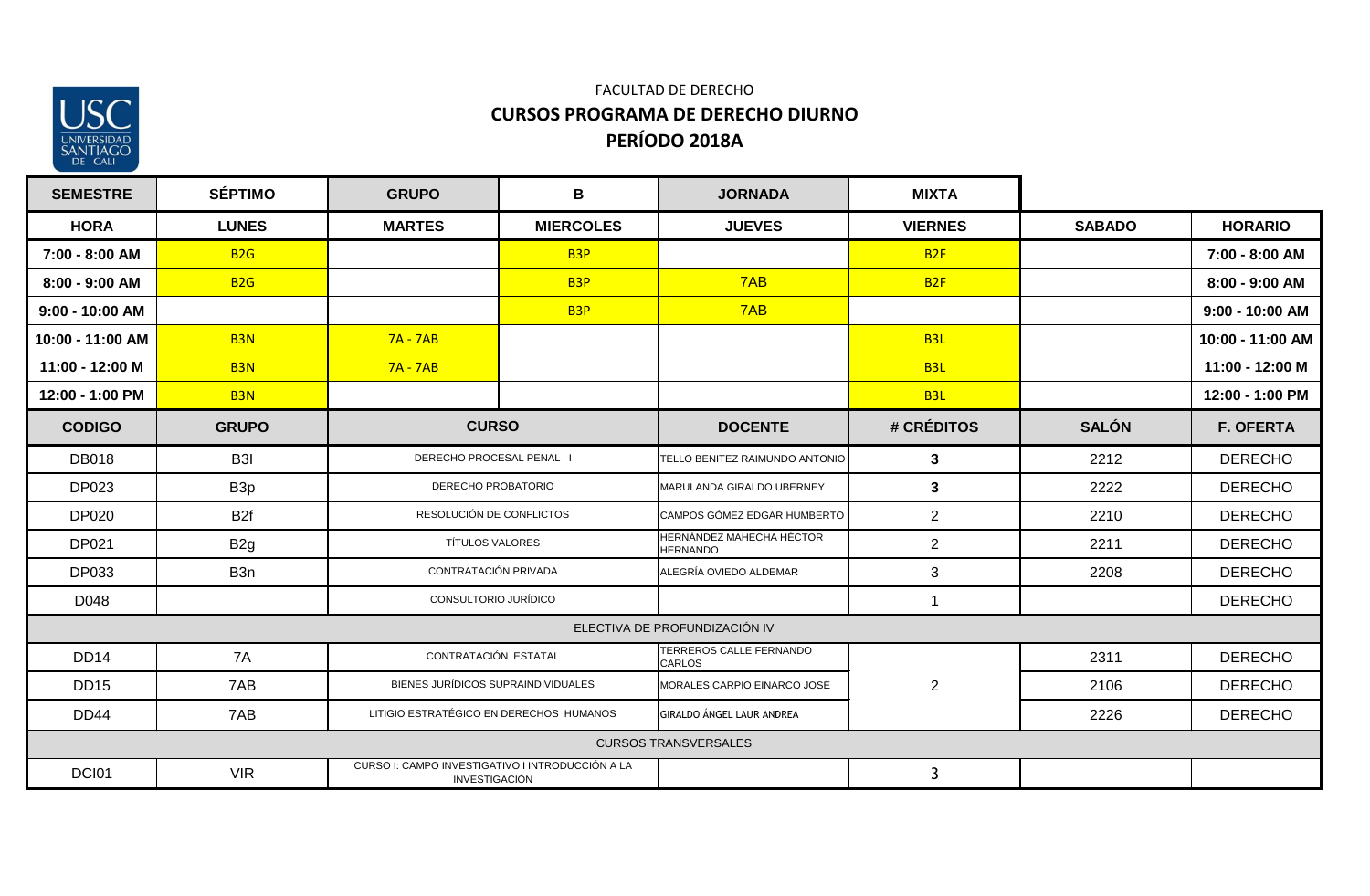

| <b>SEMESTRE</b>  | <b>SÉPTIMO</b>   | <b>GRUPO</b>                                                      | В                                                       | <b>JORNADA</b>                              | <b>MIXTA</b>    |               |                  |
|------------------|------------------|-------------------------------------------------------------------|---------------------------------------------------------|---------------------------------------------|-----------------|---------------|------------------|
| <b>HORA</b>      | <b>LUNES</b>     | <b>MARTES</b>                                                     | <b>MIERCOLES</b>                                        | <b>JUEVES</b>                               | <b>VIERNES</b>  | <b>SABADO</b> | <b>HORARIO</b>   |
| 7:00 - 8:00 AM   | <b>B2G</b>       |                                                                   | B <sub>3P</sub>                                         |                                             | B <sub>2F</sub> |               | 7:00 - 8:00 AM   |
| 8:00 - 9:00 AM   | <b>B2G</b>       |                                                                   | B <sub>3</sub> P                                        | 7AB                                         | B <sub>2F</sub> |               | 8:00 - 9:00 AM   |
| 9:00 - 10:00 AM  |                  |                                                                   | B <sub>3P</sub>                                         | 7AB                                         |                 |               | 9:00 - 10:00 AM  |
| 10:00 - 11:00 AM | B <sub>3N</sub>  | $7A - 7AB$                                                        |                                                         |                                             | B <sub>3L</sub> |               | 10:00 - 11:00 AM |
| 11:00 - 12:00 M  | B <sub>3N</sub>  | $7A - 7AB$                                                        |                                                         |                                             | B <sub>3L</sub> |               | 11:00 - 12:00 M  |
| 12:00 - 1:00 PM  | B <sub>3N</sub>  |                                                                   |                                                         |                                             | B <sub>3L</sub> |               | 12:00 - 1:00 PM  |
| <b>CODIGO</b>    | <b>GRUPO</b>     | <b>CURSO</b>                                                      |                                                         | <b>DOCENTE</b>                              | # CRÉDITOS      | <b>SALÓN</b>  | <b>F. OFERTA</b> |
| <b>DB018</b>     | B3I              | DERECHO PROCESAL PENAL I                                          |                                                         | TELLO BENITEZ RAIMUNDO ANTONIO              | 3               | 2212          | <b>DERECHO</b>   |
| DP023            | B <sub>3p</sub>  | DERECHO PROBATORIO                                                |                                                         | MARULANDA GIRALDO UBERNEY                   | $\mathbf{3}$    | 2222          | <b>DERECHO</b>   |
| DP020            | B <sub>2f</sub>  |                                                                   | RESOLUCIÓN DE CONFLICTOS<br>CAMPOS GÓMEZ EDGAR HUMBERTO |                                             | $\overline{2}$  | 2210          | <b>DERECHO</b>   |
| DP021            | B <sub>2g</sub>  | <b>TÍTULOS VALORES</b>                                            |                                                         | HERNÁNDEZ MAHECHA HÉCTOR<br><b>HERNANDO</b> | $\overline{2}$  | 2211          | <b>DERECHO</b>   |
| DP033            | B <sub>3</sub> n | CONTRATACIÓN PRIVADA                                              |                                                         | ALEGRÍA OVIEDO ALDEMAR                      | $\mathbf{3}$    | 2208          | <b>DERECHO</b>   |
| D048             |                  | CONSULTORIO JURÍDICO                                              |                                                         |                                             |                 |               | <b>DERECHO</b>   |
|                  |                  |                                                                   |                                                         | ELECTIVA DE PROFUNDIZACIÓN IV               |                 |               |                  |
| <b>DD14</b>      | 7A               | CONTRATACIÓN ESTATAL                                              |                                                         | TERREROS CALLE FERNANDO<br><b>CARLOS</b>    |                 | 2311          | <b>DERECHO</b>   |
| <b>DD15</b>      | 7AB              | BIENES JURÍDICOS SUPRAINDIVIDUALES                                |                                                         | MORALES CARPIO EINARCO JOSÉ                 | $\overline{2}$  | 2106          | <b>DERECHO</b>   |
| <b>DD44</b>      | 7AB              | LITIGIO ESTRATÉGICO EN DERECHOS HUMANOS                           |                                                         | <b>GIRALDO ÁNGEL LAUR ANDREA</b>            |                 | 2226          | <b>DERECHO</b>   |
|                  |                  |                                                                   |                                                         | <b>CURSOS TRANSVERSALES</b>                 |                 |               |                  |
| DCI01            | <b>VIR</b>       | CURSO I: CAMPO INVESTIGATIVO I INTRODUCCIÓN A LA<br>INVESTIGACIÓN |                                                         |                                             | 3               |               |                  |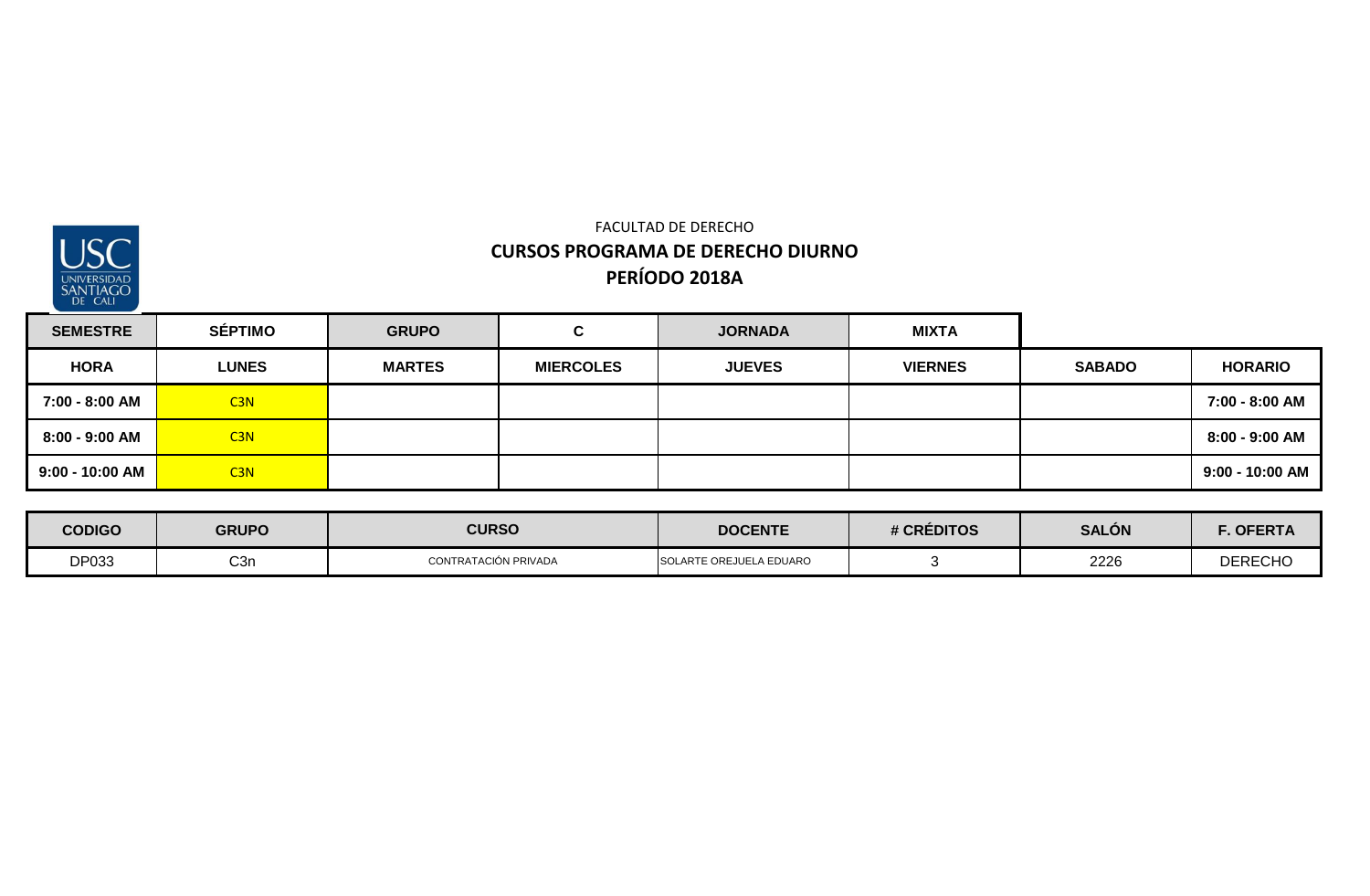

| <b>SEMESTRE</b> | <b>SÉPTIMO</b>  | <b>GRUPO</b>  | C.               | <b>JORNADA</b> | <b>MIXTA</b>   |               |                 |
|-----------------|-----------------|---------------|------------------|----------------|----------------|---------------|-----------------|
| <b>HORA</b>     | <b>LUNES</b>    | <b>MARTES</b> | <b>MIERCOLES</b> | <b>JUEVES</b>  | <b>VIERNES</b> | <b>SABADO</b> | <b>HORARIO</b>  |
| 7:00 - 8:00 AM  | C <sub>3N</sub> |               |                  |                |                |               | 7:00 - 8:00 AM  |
| 8:00 - 9:00 AM  | C <sub>3N</sub> |               |                  |                |                |               | 8:00 - 9:00 AM  |
| 9:00 - 10:00 AM | C <sub>3N</sub> |               |                  |                |                |               | 9:00 - 10:00 AM |

| <b>CODIGO</b> | <b>GRUPO</b>     | <b>CURSO</b>         | <b>DOCENTE</b>          | # CRÉDITOS | <b>SALÓN</b> | <b>OFERTA</b>  |
|---------------|------------------|----------------------|-------------------------|------------|--------------|----------------|
| DP033         | C <sub>3</sub> r | CONTRATACIÓN PRIVADA | SOLARTE OREJUELA EDUARO |            | 2226         | <b>DERECHO</b> |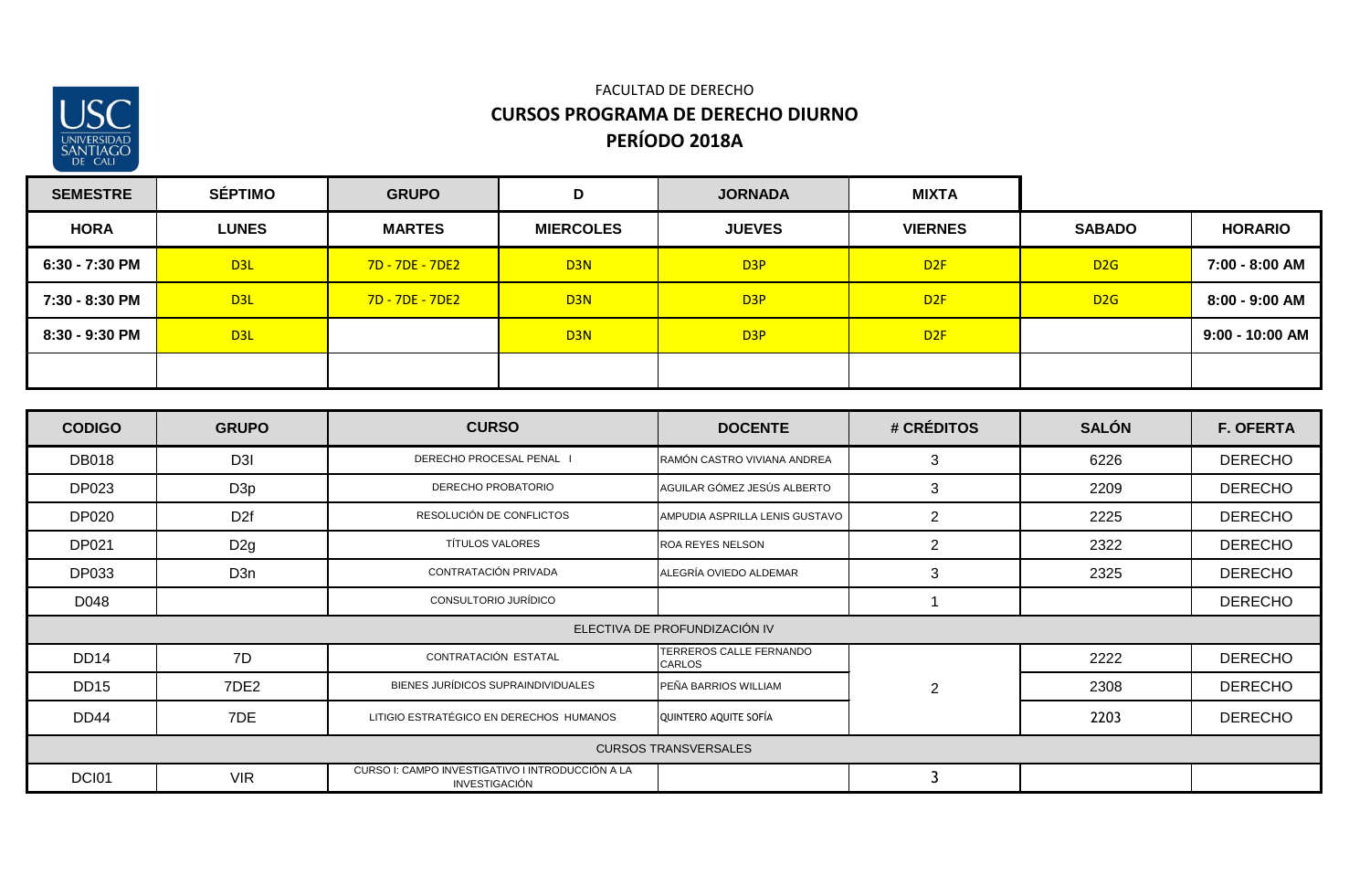

| <b>SEMESTRE</b> | <b>SÉPTIMO</b>  | <b>GRUPO</b>    | D                | <b>JORNADA</b>   | <b>MIXTA</b>    |               |                   |
|-----------------|-----------------|-----------------|------------------|------------------|-----------------|---------------|-------------------|
| <b>HORA</b>     | <b>LUNES</b>    | <b>MARTES</b>   | <b>MIERCOLES</b> | <b>JUEVES</b>    | <b>VIERNES</b>  | <b>SABADO</b> | <b>HORARIO</b>    |
| 6:30 - 7:30 PM  | D <sub>3L</sub> | 7D - 7DE - 7DE2 | D <sub>3N</sub>  | D <sub>3P</sub>  | D <sub>2F</sub> | D2G           | 7:00 - 8:00 AM    |
| 7:30 - 8:30 PM  | D <sub>3L</sub> | 7D - 7DE - 7DE2 | D <sub>3</sub> N | D <sub>3P</sub>  | D <sub>2F</sub> | D2G           | 8:00 - 9:00 AM    |
| 8:30 - 9:30 PM  | D3L             |                 | D <sub>3</sub> N | D <sub>3</sub> P | D <sub>2F</sub> |               | $9:00 - 10:00$ AM |
|                 |                 |                 |                  |                  |                 |               |                   |

| <b>CODIGO</b>                 | <b>GRUPO</b>     | <b>CURSO</b>                                                      | <b>DOCENTE</b>                    | # CRÉDITOS     | <b>SALÓN</b> | <b>F. OFERTA</b> |  |  |  |
|-------------------------------|------------------|-------------------------------------------------------------------|-----------------------------------|----------------|--------------|------------------|--|--|--|
| <b>DB018</b>                  | D <sub>3</sub> I | DERECHO PROCESAL PENAL                                            | RAMÓN CASTRO VIVIANA ANDREA       | 3              | 6226         | <b>DERECHO</b>   |  |  |  |
| <b>DP023</b>                  | D <sub>3p</sub>  | DERECHO PROBATORIO                                                | AGUILAR GÓMEZ JESÚS ALBERTO       | 3              | 2209         | <b>DERECHO</b>   |  |  |  |
| <b>DP020</b>                  | D <sub>2f</sub>  | RESOLUCIÓN DE CONFLICTOS                                          | AMPUDIA ASPRILLA LENIS GUSTAVO    | $\overline{2}$ | 2225         | <b>DERECHO</b>   |  |  |  |
| DP021                         | D <sub>2g</sub>  | <b>TÍTULOS VALORES</b>                                            | <b>ROA REYES NELSON</b>           | $\overline{2}$ | 2322         | <b>DERECHO</b>   |  |  |  |
| <b>DP033</b>                  | D <sub>3</sub> n | CONTRATACIÓN PRIVADA                                              | ALEGRÍA OVIEDO ALDEMAR            | 3              | 2325         | <b>DERECHO</b>   |  |  |  |
| D048                          |                  | CONSULTORIO JURÍDICO                                              |                                   |                |              | <b>DERECHO</b>   |  |  |  |
| ELECTIVA DE PROFUNDIZACIÓN IV |                  |                                                                   |                                   |                |              |                  |  |  |  |
| <b>DD14</b>                   | 7D               | CONTRATACIÓN ESTATAL                                              | TERREROS CALLE FERNANDO<br>CARLOS |                | 2222         | <b>DERECHO</b>   |  |  |  |
| <b>DD15</b>                   | 7DE2             | BIENES JURÍDICOS SUPRAINDIVIDUALES                                | PEÑA BARRIOS WILLIAM              | $\overline{2}$ | 2308         | <b>DERECHO</b>   |  |  |  |
| <b>DD44</b>                   | 7DE              | LITIGIO ESTRATÉGICO EN DERECHOS HUMANOS                           | QUINTERO AQUITE SOFÍA             |                | 2203         | <b>DERECHO</b>   |  |  |  |
|                               |                  |                                                                   | <b>CURSOS TRANSVERSALES</b>       |                |              |                  |  |  |  |
| DCI01                         | <b>VIR</b>       | CURSO I: CAMPO INVESTIGATIVO I INTRODUCCIÓN A LA<br>INVESTIGACIÓN |                                   |                |              |                  |  |  |  |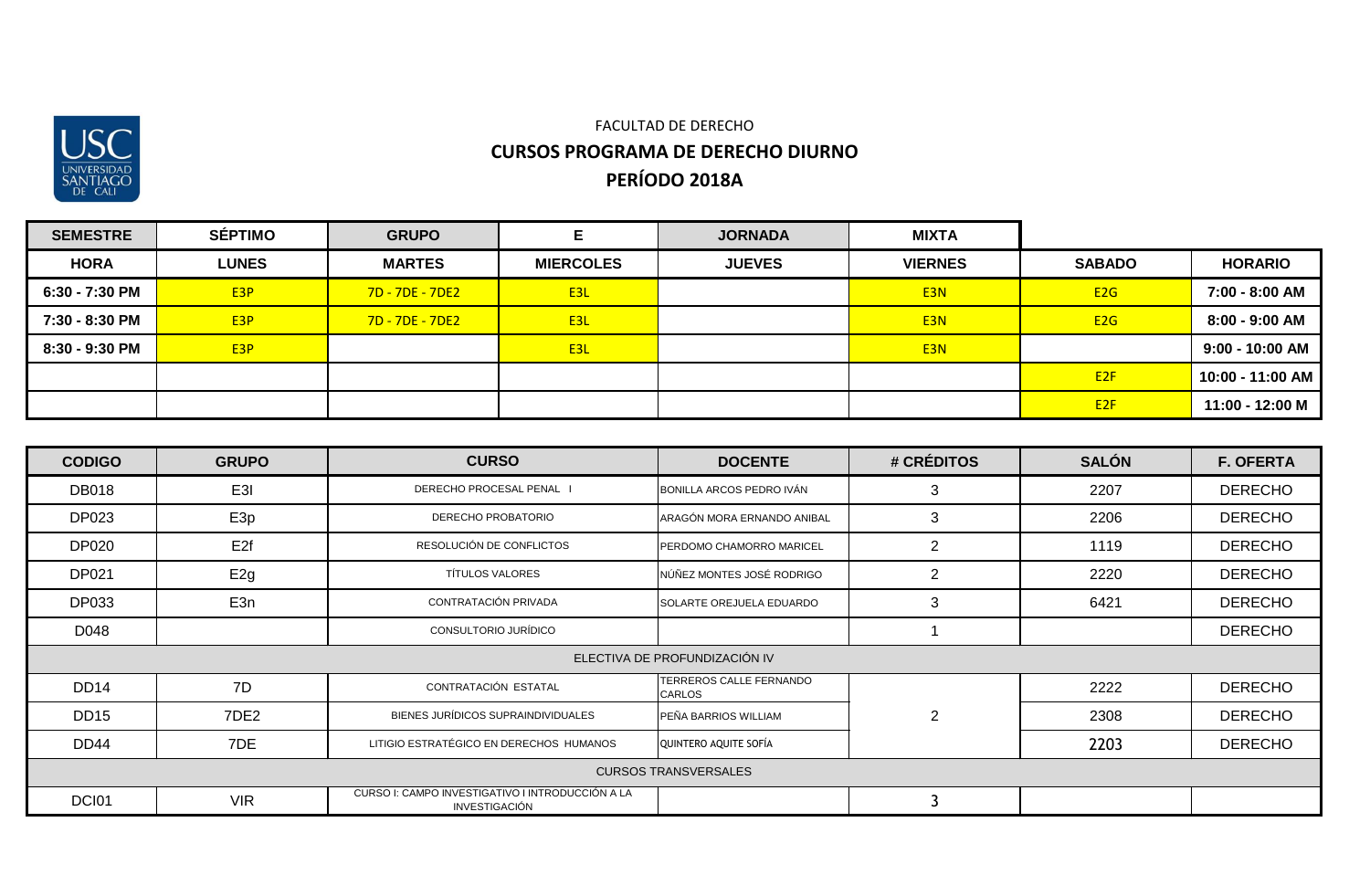

| <b>SEMESTRE</b> | <b>SÉPTIMO</b>   | <b>GRUPO</b>     |                  | <b>JORNADA</b> | <b>MIXTA</b>     |                 |                   |
|-----------------|------------------|------------------|------------------|----------------|------------------|-----------------|-------------------|
| <b>HORA</b>     | <b>LUNES</b>     | <b>MARTES</b>    | <b>MIERCOLES</b> | <b>JUEVES</b>  | <b>VIERNES</b>   | <b>SABADO</b>   | <b>HORARIO</b>    |
| 6:30 - 7:30 PM  | E <sub>3</sub> P | 7D - 7DE - 7DE2  | E3L              |                | E <sub>3</sub> N | E2G             | 7:00 - 8:00 AM    |
| 7:30 - 8:30 PM  | E <sub>3</sub> P | $7D - 7DE - 7DE$ | E <sub>3</sub> L |                | E <sub>3</sub> N | E2G             | $8:00 - 9:00$ AM  |
| 8:30 - 9:30 PM  | E <sub>3</sub> P |                  | E3L              |                | E <sub>3N</sub>  |                 | $9:00 - 10:00$ AM |
|                 |                  |                  |                  |                |                  | E <sub>2F</sub> | 10:00 - 11:00 AM  |
|                 |                  |                  |                  |                |                  | E2F             | 11:00 - 12:00 M   |

| <b>CODIGO</b>                 | <b>GRUPO</b>     | <b>CURSO</b>                                                      | <b>DOCENTE</b>                    | # CRÉDITOS     | <b>SALÓN</b> | <b>F. OFERTA</b> |  |  |  |
|-------------------------------|------------------|-------------------------------------------------------------------|-----------------------------------|----------------|--------------|------------------|--|--|--|
| <b>DB018</b>                  | E3I              | DERECHO PROCESAL PENAL I                                          | BONILLA ARCOS PEDRO IVÁN          | 3              | 2207         | <b>DERECHO</b>   |  |  |  |
| DP023                         | E <sub>3p</sub>  | DERECHO PROBATORIO                                                | ARAGÓN MORA ERNANDO ANIBAL        | 3              | 2206         | <b>DERECHO</b>   |  |  |  |
| <b>DP020</b>                  | E <sub>2f</sub>  | RESOLUCIÓN DE CONFLICTOS                                          | PERDOMO CHAMORRO MARICEL          | $\overline{2}$ | 1119         | <b>DERECHO</b>   |  |  |  |
| <b>DP021</b>                  | E <sub>2g</sub>  | <b>TÍTULOS VALORES</b>                                            | NÚÑEZ MONTES JOSÉ RODRIGO         | 2              | 2220         | <b>DERECHO</b>   |  |  |  |
| <b>DP033</b>                  | E3n              | CONTRATACIÓN PRIVADA                                              | SOLARTE OREJUELA EDUARDO          | 3              | 6421         | <b>DERECHO</b>   |  |  |  |
| D048                          |                  | CONSULTORIO JURÍDICO                                              |                                   |                |              | <b>DERECHO</b>   |  |  |  |
| ELECTIVA DE PROFUNDIZACIÓN IV |                  |                                                                   |                                   |                |              |                  |  |  |  |
| <b>DD14</b>                   | 7D               | CONTRATACIÓN ESTATAL                                              | TERREROS CALLE FERNANDO<br>CARLOS |                | 2222         | <b>DERECHO</b>   |  |  |  |
| DD <sub>15</sub>              | 7DE <sub>2</sub> | BIENES JURÍDICOS SUPRAINDIVIDUALES                                | PEÑA BARRIOS WILLIAM              | $\overline{2}$ | 2308         | <b>DERECHO</b>   |  |  |  |
| <b>DD44</b>                   | 7DE              | LITIGIO ESTRATÉGICO EN DERECHOS HUMANOS                           | QUINTERO AQUITE SOFÍA             |                | 2203         | <b>DERECHO</b>   |  |  |  |
|                               |                  |                                                                   | <b>CURSOS TRANSVERSALES</b>       |                |              |                  |  |  |  |
| DCI01                         | <b>VIR</b>       | CURSO I: CAMPO INVESTIGATIVO I INTRODUCCIÓN A LA<br>INVESTIGACIÓN |                                   |                |              |                  |  |  |  |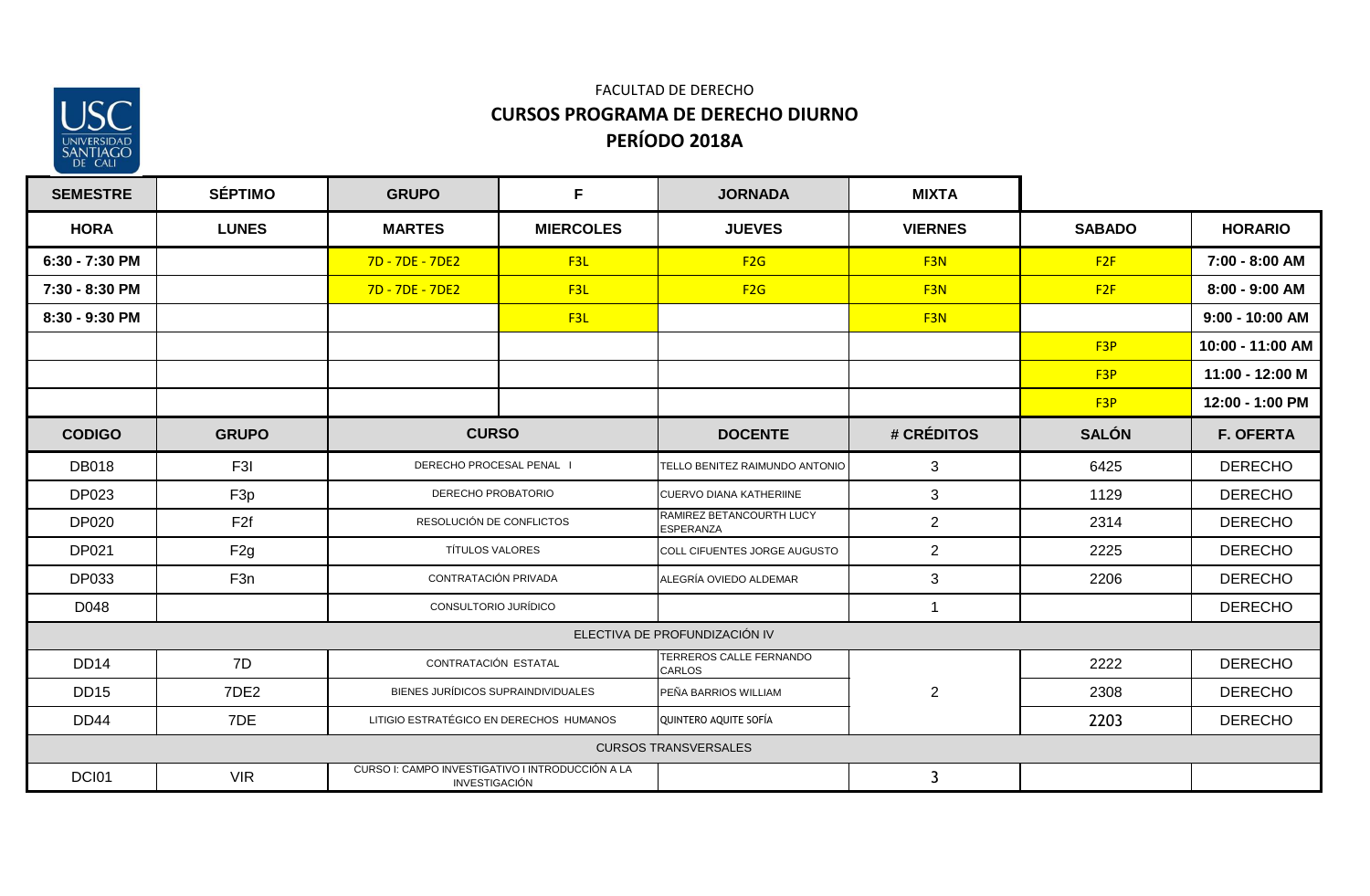

| <b>SEMESTRE</b> | <b>SÉPTIMO</b>  | <b>GRUPO</b>                                                      | F.               | <b>JORNADA</b>                               | <b>MIXTA</b>    |                 |                  |
|-----------------|-----------------|-------------------------------------------------------------------|------------------|----------------------------------------------|-----------------|-----------------|------------------|
| <b>HORA</b>     | <b>LUNES</b>    | <b>MARTES</b>                                                     | <b>MIERCOLES</b> | <b>JUEVES</b>                                | <b>VIERNES</b>  | <b>SABADO</b>   | <b>HORARIO</b>   |
| 6:30 - 7:30 PM  |                 | 7D - 7DE - 7DE2                                                   | F3L              | F2G                                          | F <sub>3N</sub> | F2F             | 7:00 - 8:00 AM   |
| 7:30 - 8:30 PM  |                 | 7D - 7DE - 7DE2                                                   | F3L              | F2G                                          | F <sub>3N</sub> | F2F             | 8:00 - 9:00 AM   |
| 8:30 - 9:30 PM  |                 |                                                                   | F3L              |                                              | F <sub>3N</sub> |                 | 9:00 - 10:00 AM  |
|                 |                 |                                                                   |                  |                                              |                 | F <sub>3P</sub> | 10:00 - 11:00 AM |
|                 |                 |                                                                   |                  |                                              |                 | F <sub>3P</sub> | 11:00 - 12:00 M  |
|                 |                 |                                                                   |                  |                                              |                 | F <sub>3P</sub> | 12:00 - 1:00 PM  |
| <b>CODIGO</b>   | <b>GRUPO</b>    | <b>CURSO</b>                                                      |                  | <b>DOCENTE</b>                               | # CRÉDITOS      | <b>SALÓN</b>    | <b>F. OFERTA</b> |
| <b>DB018</b>    | F3I             | DERECHO PROCESAL PENAL I                                          |                  | TELLO BENITEZ RAIMUNDO ANTONIO               | 3               | 6425            | <b>DERECHO</b>   |
| <b>DP023</b>    | F <sub>3p</sub> | DERECHO PROBATORIO                                                |                  | <b>CUERVO DIANA KATHERIINE</b>               | 3               | 1129            | <b>DERECHO</b>   |
| <b>DP020</b>    | F <sub>2f</sub> | RESOLUCIÓN DE CONFLICTOS                                          |                  | RAMIREZ BETANCOURTH LUCY<br><b>ESPERANZA</b> | $\overline{2}$  | 2314            | <b>DERECHO</b>   |
| <b>DP021</b>    | F <sub>2g</sub> | <b>TÍTULOS VALORES</b>                                            |                  | COLL CIFUENTES JORGE AUGUSTO                 | $\overline{2}$  | 2225            | <b>DERECHO</b>   |
| DP033           | F <sub>3n</sub> | CONTRATACIÓN PRIVADA                                              |                  | ALEGRÍA OVIEDO ALDEMAR                       | $\mathbf{3}$    | 2206            | <b>DERECHO</b>   |
| D048            |                 | CONSULTORIO JURÍDICO                                              |                  |                                              | $\mathbf{1}$    |                 | <b>DERECHO</b>   |
|                 |                 |                                                                   |                  | ELECTIVA DE PROFUNDIZACIÓN IV                |                 |                 |                  |
| <b>DD14</b>     | 7D              | CONTRATACIÓN ESTATAL                                              |                  | TERREROS CALLE FERNANDO<br><b>CARLOS</b>     |                 | 2222            | <b>DERECHO</b>   |
| <b>DD15</b>     | 7DE2            | BIENES JURÍDICOS SUPRAINDIVIDUALES                                |                  | PEÑA BARRIOS WILLIAM                         | $\overline{2}$  | 2308            | <b>DERECHO</b>   |
| <b>DD44</b>     | 7DE             | LITIGIO ESTRATÉGICO EN DERECHOS HUMANOS                           |                  | QUINTERO AQUITE SOFÍA                        |                 | 2203            | <b>DERECHO</b>   |
|                 |                 |                                                                   |                  | <b>CURSOS TRANSVERSALES</b>                  |                 |                 |                  |
| DCI01           | <b>VIR</b>      | CURSO I: CAMPO INVESTIGATIVO I INTRODUCCIÓN A LA<br>INVESTIGACIÓN |                  |                                              | $\mathbf{3}$    |                 |                  |